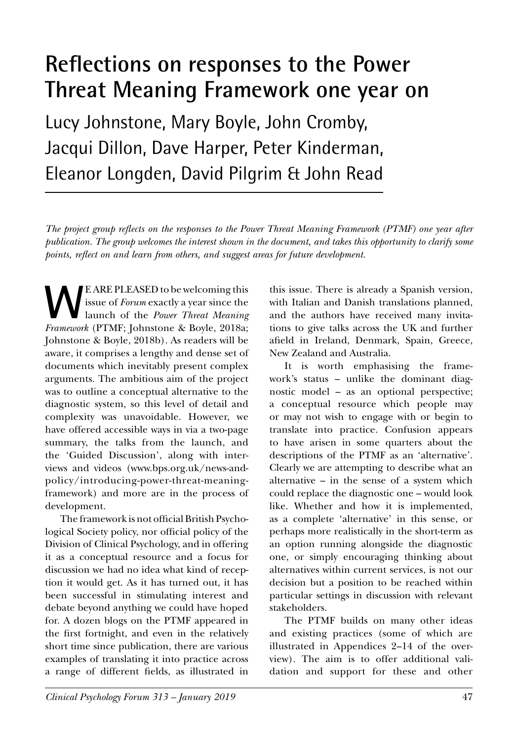# **Reflections on responses to the Power Threat Meaning Framework one year on**

Lucy Johnstone, Mary Boyle, John Cromby, Jacqui Dillon, Dave Harper, Peter Kinderman, Eleanor Longden, David Pilgrim & John Read

*The project group reflects on the responses to the Power Threat Meaning Framework (PTMF) one year after publication. The group welcomes the interest shown in the document, and takes this opportunity to clarify some points, reflect on and learn from others, and suggest areas for future development.*

**WEARE PLEASED to be welcoming this**<br>issue of *Forum* exactly a year since the<br>launch of the *Power Threat Meaning*<br>*Framework* (PTMF: Johnstone & Boyle, 2018a; issue of *Forum* exactly a year since the launch of the *Power Threat Meaning Framework* (PTMF; Johnstone & Boyle, 2018a; Johnstone & Boyle, 2018b). As readers will be aware, it comprises a lengthy and dense set of documents which inevitably present complex arguments. The ambitious aim of the project was to outline a conceptual alternative to the diagnostic system, so this level of detail and complexity was unavoidable. However, we have offered accessible ways in via a two-page summary, the talks from the launch, and the 'Guided Discussion', along with interviews and videos (www.bps.org.uk/news-andpolicy/introducing-power-threat-meaningframework) and more are in the process of development.

The framework is not official British Psychological Society policy, nor official policy of the Division of Clinical Psychology, and in offering it as a conceptual resource and a focus for discussion we had no idea what kind of reception it would get. As it has turned out, it has been successful in stimulating interest and debate beyond anything we could have hoped for. A dozen blogs on the PTMF appeared in the first fortnight, and even in the relatively short time since publication, there are various examples of translating it into practice across a range of different fields, as illustrated in

this issue. There is already a Spanish version, with Italian and Danish translations planned, and the authors have received many invitations to give talks across the UK and further afield in Ireland, Denmark, Spain, Greece, New Zealand and Australia.

It is worth emphasising the framework's status – unlike the dominant diagnostic model – as an optional perspective; a conceptual resource which people may or may not wish to engage with or begin to translate into practice. Confusion appears to have arisen in some quarters about the descriptions of the PTMF as an 'alternative'. Clearly we are attempting to describe what an alternative – in the sense of a system which could replace the diagnostic one – would look like. Whether and how it is implemented, as a complete 'alternative' in this sense, or perhaps more realistically in the short-term as an option running alongside the diagnostic one, or simply encouraging thinking about alternatives within current services, is not our decision but a position to be reached within particular settings in discussion with relevant stakeholders.

The PTMF builds on many other ideas and existing practices (some of which are illustrated in Appendices 2–14 of the overview). The aim is to offer additional validation and support for these and other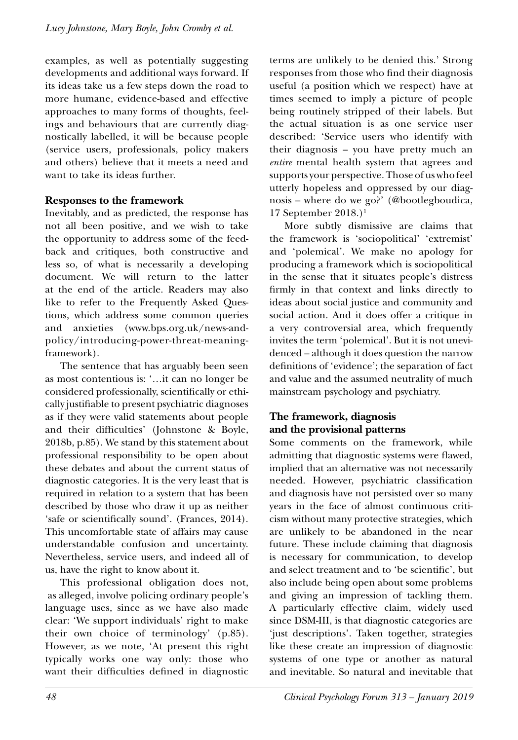examples, as well as potentially suggesting developments and additional ways forward. If its ideas take us a few steps down the road to more humane, evidence-based and effective approaches to many forms of thoughts, feelings and behaviours that are currently diagnostically labelled, it will be because people (service users, professionals, policy makers and others) believe that it meets a need and want to take its ideas further.

### **Responses to the framework**

Inevitably, and as predicted, the response has not all been positive, and we wish to take the opportunity to address some of the feedback and critiques, both constructive and less so, of what is necessarily a developing document. We will return to the latter at the end of the article. Readers may also like to refer to the Frequently Asked Questions, which address some common queries and anxieties (www.bps.org.uk/news-andpolicy/introducing-power-threat-meaningframework).

The sentence that has arguably been seen as most contentious is: '…it can no longer be considered professionally, scientifically or ethically justifiable to present psychiatric diagnoses as if they were valid statements about people and their difficulties' (Johnstone & Boyle, 2018b, p.85). We stand by this statement about professional responsibility to be open about these debates and about the current status of diagnostic categories. It is the very least that is required in relation to a system that has been described by those who draw it up as neither 'safe or scientifically sound'. (Frances, 2014). This uncomfortable state of affairs may cause understandable confusion and uncertainty. Nevertheless, service users, and indeed all of us, have the right to know about it.

This professional obligation does not, as alleged, involve policing ordinary people's language uses, since as we have also made clear: 'We support individuals' right to make their own choice of terminology' (p.85). However, as we note, 'At present this right typically works one way only: those who want their difficulties defined in diagnostic

terms are unlikely to be denied this.' Strong responses from those who find their diagnosis useful (a position which we respect) have at times seemed to imply a picture of people being routinely stripped of their labels. But the actual situation is as one service user described: 'Service users who identify with their diagnosis – you have pretty much an *entire* mental health system that agrees and supports your perspective. Those of us who feel utterly hopeless and oppressed by our diagnosis – where do we go?' (@bootlegboudica, 17 September 2018.)<sup>1</sup>

More subtly dismissive are claims that the framework is 'sociopolitical' 'extremist' and 'polemical'. We make no apology for producing a framework which is sociopolitical in the sense that it situates people's distress firmly in that context and links directly to ideas about social justice and community and social action. And it does offer a critique in a very controversial area, which frequently invites the term 'polemical'. But it is not unevidenced – although it does question the narrow definitions of 'evidence'; the separation of fact and value and the assumed neutrality of much mainstream psychology and psychiatry.

### **The framework, diagnosis and the provisional patterns**

Some comments on the framework, while admitting that diagnostic systems were flawed, implied that an alternative was not necessarily needed. However, psychiatric classification and diagnosis have not persisted over so many years in the face of almost continuous criticism without many protective strategies, which are unlikely to be abandoned in the near future. These include claiming that diagnosis is necessary for communication, to develop and select treatment and to 'be scientific', but also include being open about some problems and giving an impression of tackling them. A particularly effective claim, widely used since DSM-III, is that diagnostic categories are 'just descriptions'. Taken together, strategies like these create an impression of diagnostic systems of one type or another as natural and inevitable. So natural and inevitable that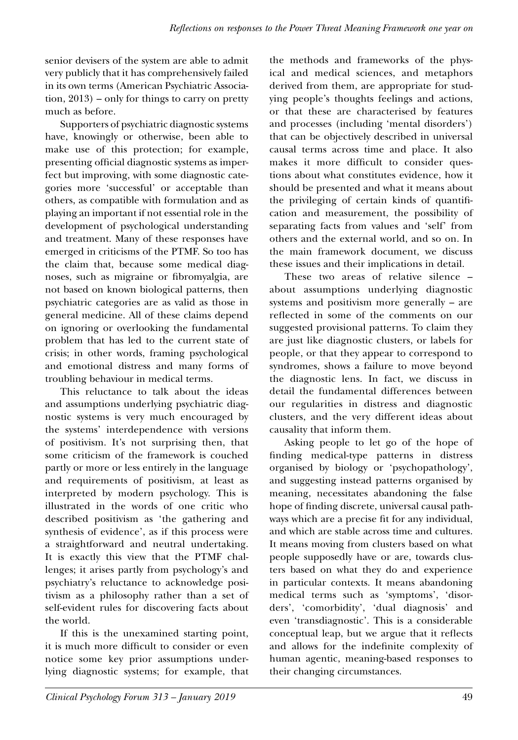senior devisers of the system are able to admit very publicly that it has comprehensively failed in its own terms (American Psychiatric Association, 2013) – only for things to carry on pretty much as before.

Supporters of psychiatric diagnostic systems have, knowingly or otherwise, been able to make use of this protection; for example, presenting official diagnostic systems as imperfect but improving, with some diagnostic categories more 'successful' or acceptable than others, as compatible with formulation and as playing an important if not essential role in the development of psychological understanding and treatment. Many of these responses have emerged in criticisms of the PTMF. So too has the claim that, because some medical diagnoses, such as migraine or fibromyalgia, are not based on known biological patterns, then psychiatric categories are as valid as those in general medicine. All of these claims depend on ignoring or overlooking the fundamental problem that has led to the current state of crisis; in other words, framing psychological and emotional distress and many forms of troubling behaviour in medical terms.

This reluctance to talk about the ideas and assumptions underlying psychiatric diagnostic systems is very much encouraged by the systems' interdependence with versions of positivism. It's not surprising then, that some criticism of the framework is couched partly or more or less entirely in the language and requirements of positivism, at least as interpreted by modern psychology. This is illustrated in the words of one critic who described positivism as 'the gathering and synthesis of evidence', as if this process were a straightforward and neutral undertaking. It is exactly this view that the PTMF challenges; it arises partly from psychology's and psychiatry's reluctance to acknowledge positivism as a philosophy rather than a set of self-evident rules for discovering facts about the world.

If this is the unexamined starting point, it is much more difficult to consider or even notice some key prior assumptions underlying diagnostic systems; for example, that the methods and frameworks of the physical and medical sciences, and metaphors derived from them, are appropriate for studying people's thoughts feelings and actions, or that these are characterised by features and processes (including 'mental disorders') that can be objectively described in universal causal terms across time and place. It also makes it more difficult to consider questions about what constitutes evidence, how it should be presented and what it means about the privileging of certain kinds of quantification and measurement, the possibility of separating facts from values and 'self' from others and the external world, and so on. In the main framework document, we discuss these issues and their implications in detail.

These two areas of relative silence – about assumptions underlying diagnostic systems and positivism more generally – are reflected in some of the comments on our suggested provisional patterns. To claim they are just like diagnostic clusters, or labels for people, or that they appear to correspond to syndromes, shows a failure to move beyond the diagnostic lens. In fact, we discuss in detail the fundamental differences between our regularities in distress and diagnostic clusters, and the very different ideas about causality that inform them.

Asking people to let go of the hope of finding medical-type patterns in distress organised by biology or 'psychopathology', and suggesting instead patterns organised by meaning, necessitates abandoning the false hope of finding discrete, universal causal pathways which are a precise fit for any individual, and which are stable across time and cultures. It means moving from clusters based on what people supposedly have or are, towards clusters based on what they do and experience in particular contexts. It means abandoning medical terms such as 'symptoms', 'disorders', 'comorbidity', 'dual diagnosis' and even 'transdiagnostic'. This is a considerable conceptual leap, but we argue that it reflects and allows for the indefinite complexity of human agentic, meaning-based responses to their changing circumstances.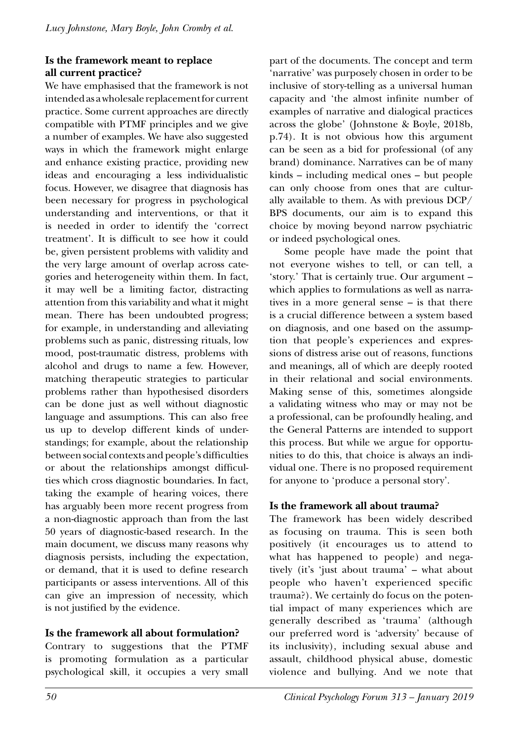# **Is the framework meant to replace all current practice?**

We have emphasised that the framework is not intended as a wholesale replacement for current practice. Some current approaches are directly compatible with PTMF principles and we give a number of examples. We have also suggested ways in which the framework might enlarge and enhance existing practice, providing new ideas and encouraging a less individualistic focus. However, we disagree that diagnosis has been necessary for progress in psychological understanding and interventions, or that it is needed in order to identify the 'correct treatment'. It is difficult to see how it could be, given persistent problems with validity and the very large amount of overlap across categories and heterogeneity within them. In fact, it may well be a limiting factor, distracting attention from this variability and what it might mean. There has been undoubted progress; for example, in understanding and alleviating problems such as panic, distressing rituals, low mood, post-traumatic distress, problems with alcohol and drugs to name a few. However, matching therapeutic strategies to particular problems rather than hypothesised disorders can be done just as well without diagnostic language and assumptions. This can also free us up to develop different kinds of understandings; for example, about the relationship between social contexts and people's difficulties or about the relationships amongst difficulties which cross diagnostic boundaries. In fact, taking the example of hearing voices, there has arguably been more recent progress from a non-diagnostic approach than from the last 50 years of diagnostic-based research. In the main document, we discuss many reasons why diagnosis persists, including the expectation, or demand, that it is used to define research participants or assess interventions. All of this can give an impression of necessity, which is not justified by the evidence.

# **Is the framework all about formulation?**

Contrary to suggestions that the PTMF is promoting formulation as a particular psychological skill, it occupies a very small part of the documents. The concept and term 'narrative' was purposely chosen in order to be inclusive of story-telling as a universal human capacity and 'the almost infinite number of examples of narrative and dialogical practices across the globe' (Johnstone & Boyle, 2018b, p.74). It is not obvious how this argument can be seen as a bid for professional (of any brand) dominance. Narratives can be of many kinds – including medical ones – but people can only choose from ones that are culturally available to them. As with previous DCP/ BPS documents, our aim is to expand this choice by moving beyond narrow psychiatric or indeed psychological ones.

Some people have made the point that not everyone wishes to tell, or can tell, a 'story.' That is certainly true. Our argument – which applies to formulations as well as narratives in a more general sense – is that there is a crucial difference between a system based on diagnosis, and one based on the assumption that people's experiences and expressions of distress arise out of reasons, functions and meanings, all of which are deeply rooted in their relational and social environments. Making sense of this, sometimes alongside a validating witness who may or may not be a professional, can be profoundly healing, and the General Patterns are intended to support this process. But while we argue for opportunities to do this, that choice is always an individual one. There is no proposed requirement for anyone to 'produce a personal story'.

# **Is the framework all about trauma?**

The framework has been widely described as focusing on trauma. This is seen both positively (it encourages us to attend to what has happened to people) and negatively (it's 'just about trauma' – what about people who haven't experienced specific trauma?). We certainly do focus on the potential impact of many experiences which are generally described as 'trauma' (although our preferred word is 'adversity' because of its inclusivity), including sexual abuse and assault, childhood physical abuse, domestic violence and bullying. And we note that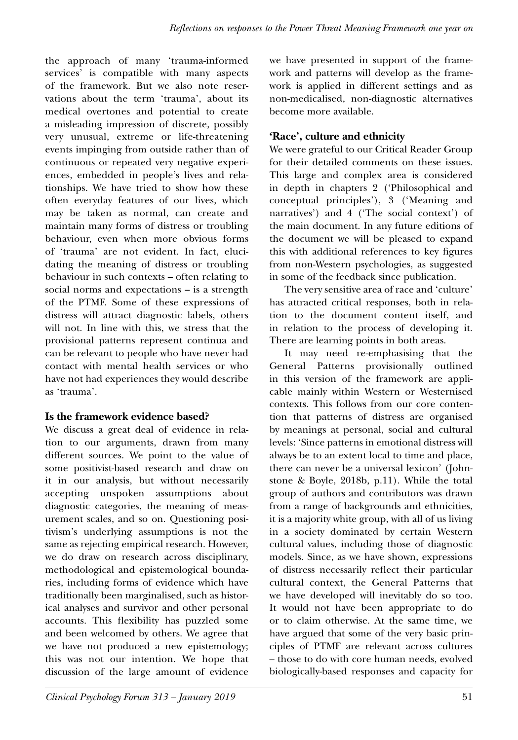the approach of many 'trauma-informed services' is compatible with many aspects of the framework. But we also note reservations about the term 'trauma', about its medical overtones and potential to create a misleading impression of discrete, possibly very unusual, extreme or life-threatening events impinging from outside rather than of continuous or repeated very negative experiences, embedded in people's lives and relationships. We have tried to show how these often everyday features of our lives, which may be taken as normal, can create and maintain many forms of distress or troubling behaviour, even when more obvious forms of 'trauma' are not evident. In fact, elucidating the meaning of distress or troubling behaviour in such contexts – often relating to social norms and expectations – is a strength of the PTMF. Some of these expressions of distress will attract diagnostic labels, others will not. In line with this, we stress that the provisional patterns represent continua and can be relevant to people who have never had contact with mental health services or who have not had experiences they would describe as 'trauma'.

## **Is the framework evidence based?**

We discuss a great deal of evidence in relation to our arguments, drawn from many different sources. We point to the value of some positivist-based research and draw on it in our analysis, but without necessarily accepting unspoken assumptions about diagnostic categories, the meaning of measurement scales, and so on. Questioning positivism's underlying assumptions is not the same as rejecting empirical research. However, we do draw on research across disciplinary, methodological and epistemological boundaries, including forms of evidence which have traditionally been marginalised, such as historical analyses and survivor and other personal accounts. This flexibility has puzzled some and been welcomed by others. We agree that we have not produced a new epistemology; this was not our intention. We hope that discussion of the large amount of evidence

we have presented in support of the framework and patterns will develop as the framework is applied in different settings and as non-medicalised, non-diagnostic alternatives become more available.

# **'Race', culture and ethnicity**

We were grateful to our Critical Reader Group for their detailed comments on these issues. This large and complex area is considered in depth in chapters 2 ('Philosophical and conceptual principles'), 3 ('Meaning and narratives') and 4 ('The social context') of the main document. In any future editions of the document we will be pleased to expand this with additional references to key figures from non-Western psychologies, as suggested in some of the feedback since publication.

The very sensitive area of race and 'culture' has attracted critical responses, both in relation to the document content itself, and in relation to the process of developing it. There are learning points in both areas.

It may need re-emphasising that the General Patterns provisionally outlined in this version of the framework are applicable mainly within Western or Westernised contexts. This follows from our core contention that patterns of distress are organised by meanings at personal, social and cultural levels: 'Since patterns in emotional distress will always be to an extent local to time and place, there can never be a universal lexicon' (Johnstone & Boyle, 2018b, p.11). While the total group of authors and contributors was drawn from a range of backgrounds and ethnicities, it is a majority white group, with all of us living in a society dominated by certain Western cultural values, including those of diagnostic models. Since, as we have shown, expressions of distress necessarily reflect their particular cultural context, the General Patterns that we have developed will inevitably do so too. It would not have been appropriate to do or to claim otherwise. At the same time, we have argued that some of the very basic principles of PTMF are relevant across cultures – those to do with core human needs, evolved biologically-based responses and capacity for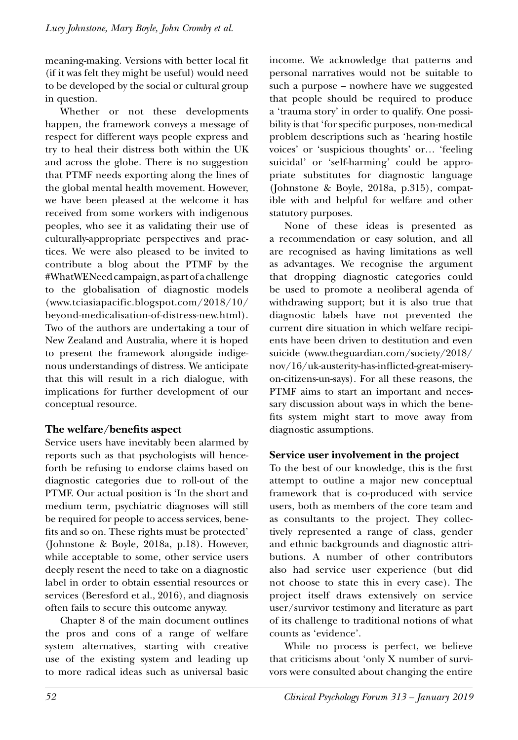meaning-making. Versions with better local fit (if it was felt they might be useful) would need to be developed by the social or cultural group in question.

Whether or not these developments happen, the framework conveys a message of respect for different ways people express and try to heal their distress both within the UK and across the globe. There is no suggestion that PTMF needs exporting along the lines of the global mental health movement. However, we have been pleased at the welcome it has received from some workers with indigenous peoples, who see it as validating their use of culturally-appropriate perspectives and practices. We were also pleased to be invited to contribute a blog about the PTMF by the #WhatWENeed campaign, as part of a challenge to the globalisation of diagnostic models (www.tciasiapacific.blogspot.com/2018/10/ beyond-medicalisation-of-distress-new.html). Two of the authors are undertaking a tour of New Zealand and Australia, where it is hoped to present the framework alongside indigenous understandings of distress. We anticipate that this will result in a rich dialogue, with implications for further development of our conceptual resource.

# **The welfare/benefits aspect**

Service users have inevitably been alarmed by reports such as that psychologists will henceforth be refusing to endorse claims based on diagnostic categories due to roll-out of the PTMF. Our actual position is 'In the short and medium term, psychiatric diagnoses will still be required for people to access services, benefits and so on. These rights must be protected' (Johnstone & Boyle, 2018a, p.18). However, while acceptable to some, other service users deeply resent the need to take on a diagnostic label in order to obtain essential resources or services (Beresford et al., 2016), and diagnosis often fails to secure this outcome anyway.

Chapter 8 of the main document outlines the pros and cons of a range of welfare system alternatives, starting with creative use of the existing system and leading up to more radical ideas such as universal basic

income. We acknowledge that patterns and personal narratives would not be suitable to such a purpose – nowhere have we suggested that people should be required to produce a 'trauma story' in order to qualify. One possibility is that 'for specific purposes, non-medical problem descriptions such as 'hearing hostile voices' or 'suspicious thoughts' or… 'feeling suicidal' or 'self-harming' could be appropriate substitutes for diagnostic language (Johnstone & Boyle, 2018a, p.315), compatible with and helpful for welfare and other statutory purposes.

None of these ideas is presented as a recommendation or easy solution, and all are recognised as having limitations as well as advantages. We recognise the argument that dropping diagnostic categories could be used to promote a neoliberal agenda of withdrawing support; but it is also true that diagnostic labels have not prevented the current dire situation in which welfare recipients have been driven to destitution and even suicide (www.theguardian.com/society/2018/ nov/16/uk-austerity-has-inflicted-great-miseryon-citizens-un-says). For all these reasons, the PTMF aims to start an important and necessary discussion about ways in which the benefits system might start to move away from diagnostic assumptions.

# **Service user involvement in the project**

To the best of our knowledge, this is the first attempt to outline a major new conceptual framework that is co-produced with service users, both as members of the core team and as consultants to the project. They collectively represented a range of class, gender and ethnic backgrounds and diagnostic attributions. A number of other contributors also had service user experience (but did not choose to state this in every case). The project itself draws extensively on service user/survivor testimony and literature as part of its challenge to traditional notions of what counts as 'evidence'.

While no process is perfect, we believe that criticisms about 'only X number of survivors were consulted about changing the entire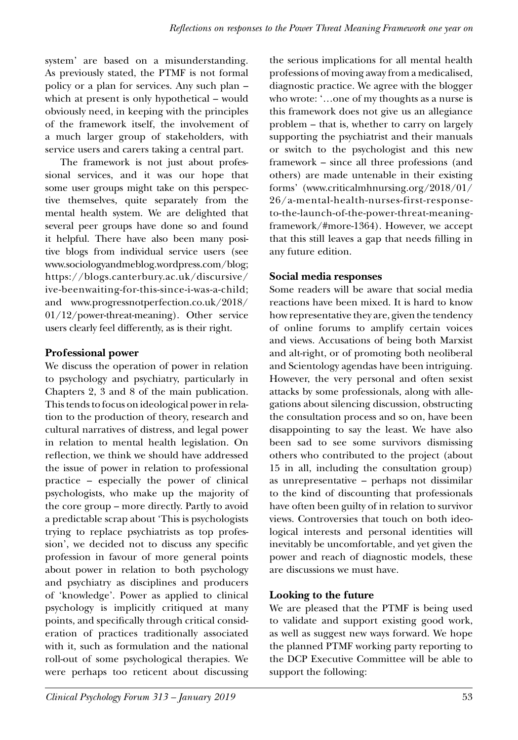system' are based on a misunderstanding. As previously stated, the PTMF is not formal policy or a plan for services. Any such plan – which at present is only hypothetical – would obviously need, in keeping with the principles of the framework itself, the involvement of a much larger group of stakeholders, with service users and carers taking a central part.

The framework is not just about professional services, and it was our hope that some user groups might take on this perspective themselves, quite separately from the mental health system. We are delighted that several peer groups have done so and found it helpful. There have also been many positive blogs from individual service users (see www.sociologyandmeblog.wordpress.com/blog; https://blogs.canterbury.ac.uk/discursive/ ive-beenwaiting-for-this-since-i-was-a-child; and www.progressnotperfection.co.uk/2018/ 01/12/power-threat-meaning). Other service users clearly feel differently, as is their right.

## **Professional power**

We discuss the operation of power in relation to psychology and psychiatry, particularly in Chapters 2, 3 and 8 of the main publication. This tends to focus on ideological power in relation to the production of theory, research and cultural narratives of distress, and legal power in relation to mental health legislation. On reflection, we think we should have addressed the issue of power in relation to professional practice – especially the power of clinical psychologists, who make up the majority of the core group – more directly. Partly to avoid a predictable scrap about 'This is psychologists trying to replace psychiatrists as top profession', we decided not to discuss any specific profession in favour of more general points about power in relation to both psychology and psychiatry as disciplines and producers of 'knowledge'. Power as applied to clinical psychology is implicitly critiqued at many points, and specifically through critical consideration of practices traditionally associated with it, such as formulation and the national roll-out of some psychological therapies. We were perhaps too reticent about discussing

the serious implications for all mental health professions of moving away from a medicalised, diagnostic practice. We agree with the blogger who wrote: '…one of my thoughts as a nurse is this framework does not give us an allegiance problem – that is, whether to carry on largely supporting the psychiatrist and their manuals or switch to the psychologist and this new framework – since all three professions (and others) are made untenable in their existing forms' (www.criticalmhnursing.org/2018/01/ 26/a-mental-health-nurses-first-responseto-the-launch-of-the-power-threat-meaningframework/#more-1364). However, we accept that this still leaves a gap that needs filling in any future edition.

## **Social media responses**

Some readers will be aware that social media reactions have been mixed. It is hard to know how representative they are, given the tendency of online forums to amplify certain voices and views. Accusations of being both Marxist and alt-right, or of promoting both neoliberal and Scientology agendas have been intriguing. However, the very personal and often sexist attacks by some professionals, along with allegations about silencing discussion, obstructing the consultation process and so on, have been disappointing to say the least. We have also been sad to see some survivors dismissing others who contributed to the project (about 15 in all, including the consultation group) as unrepresentative – perhaps not dissimilar to the kind of discounting that professionals have often been guilty of in relation to survivor views. Controversies that touch on both ideological interests and personal identities will inevitably be uncomfortable, and yet given the power and reach of diagnostic models, these are discussions we must have.

## **Looking to the future**

We are pleased that the PTMF is being used to validate and support existing good work, as well as suggest new ways forward. We hope the planned PTMF working party reporting to the DCP Executive Committee will be able to support the following: